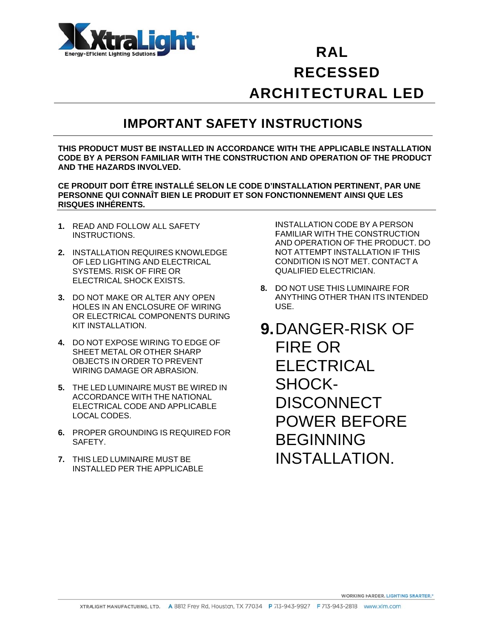

## ARCHITECTURAL LED R RAL REC CESSE ED

#### IMPORTANT SAFETY INSTRUCTIONS

<code>THIS PRODUCT MUST BE INSTALLED IN ACCORDANCE WITH THE APPLICABLE INSTALLATION</code> **CODE BY Y A PERSON N FAMILIAR W WITH THE CO ONSTRUCTIO ON AND OPE ERATION OF F THE PROD DUCT AND THE E HAZARDS INVOLVED.** 

CE PRODUIT DOIT ÊTRE INSTALLÉ SELON LE CODE D'INSTALLATION PERTINENT, PAR UNE **PERSON NE QUI CON NNAÎT BIEN L LE PRODUIT T ET SON FO ONCTIONNEM MENT AINSI Q QUE LES RISQUES S INHÉRENTS S.** 

- 1. READ AND FOLLOW ALL SAFETY INSTR RUCTIONS.
- **2. INSTALLATION REQUIRES KNOWLEDGE** OF LED LIGHTING AND ELECTRICAL SYSTEMS. RISK OF FIRE OR ELEC CTRICAL SHO OCK EXISTS.
- ELECTRICAL SHOCK EXISTS.<br>**3.** DO NOT MAKE OR ALTER ANY OPEN HOLE ES IN AN ENC CLOSURE O F WIRING OR ELECTRICAL COMPONENTS DURING KIT INSTALLATION.
- **4.** DO N OT EXPOSE WIRING TO EDGE OF SHEET METAL OR OTHER SHARP OBJECTS IN ORDER TO PREVENT WIRING DAMAGE OR ABRASION.
- **5. THE LED LUMINAIRE MUST BE WIRED IN** ACCORDANCE WITH THE NATIONAL ELECTRICAL CODE AND APPLICABLE LOCA AL CODES.
- **6. PROPER GROUNDING IS REQUIRED FOR** SAFE ETY.
- **7. THIS LED LUMINAIRE MUST BE** INSTALLED PER THE APPLICABLE

FAMILIAR WITH THE CONSTRUCTION A AND OPERA ATION OF THE E PRODUCT . DO NOT ATTEMPT INSTALLATION IF THIS C CONDITION IS NOT MET . CONTACT A QUALIFIED ELECTRICIAN. INSTALLATION CODE BY A PERSON

- **8. DO NOT USE THIS LUMINAIRE FOR** ANYTHING OTHER THAN ITS INTENDED U USE.
- $\begin{bmatrix} 1 & 1 & 1 \\ 0 & 1 & 1 \\ 0 & 0 & 0 \\ 0 & 0 & 0 \\ 0 & 0 & 0 \\ 0 & 0 & 0 \\ 0 & 0 & 0 \\ 0 & 0 & 0 \\ 0 & 0 & 0 \\ 0 & 0 & 0 \\ 0 & 0 & 0 \\ 0 & 0 & 0 \\ 0 & 0 & 0 \\ 0 & 0 & 0 \\ 0 & 0 & 0 \\ 0 & 0 & 0 \\ 0 & 0 & 0 \\ 0 & 0 & 0 \\ 0 & 0 & 0 \\ 0 & 0 & 0 \\ 0 & 0 & 0 \\ 0 & 0 & 0 \\ 0 & 0 & 0 \\ 0 & 0 &$ **9.** DANGER-RISK OF S SHOC K-FIRE OR **ELECTRICAL** ELECTRICAL<br>SHOCK-<br>DISCONNECT POWER BEFORE **BEGINNING** INSTALLATION.

**WORKING HARDER, LIGHTING SNARTER.\***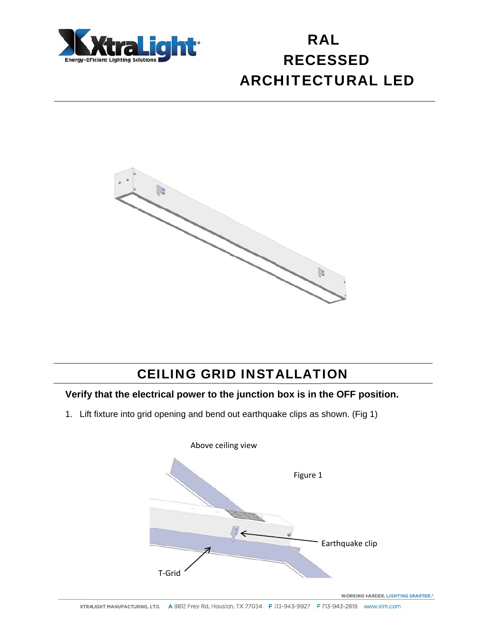



#### **CEILING GRID INSTALLATION**

#### Verify that the electrical power to the junction box is in the OFF position.

1. Lift fixture into grid opening and bend out earthquake clips as shown. (Fig 1)

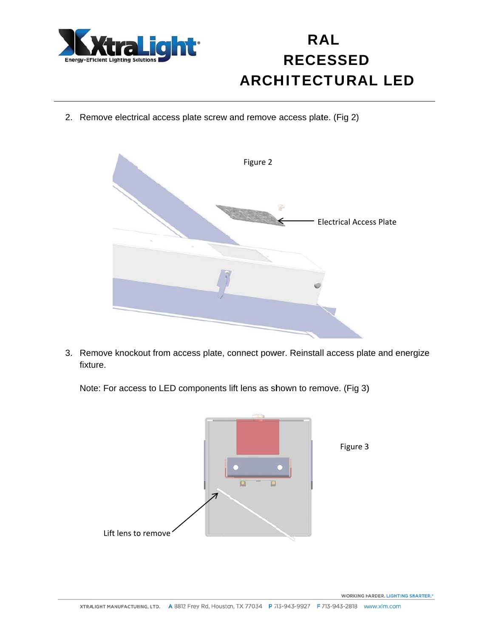

2. Remove electrical access plate screw and remove access plate. (Fig 2)



3. Remove knockout from access plate, connect power. Reinstall access plate and energize fixture.

Note: For access to LED components lift lens as shown to remove. (Fig 3)



**WORKING HARDER. LIGHTING SNARTER.\***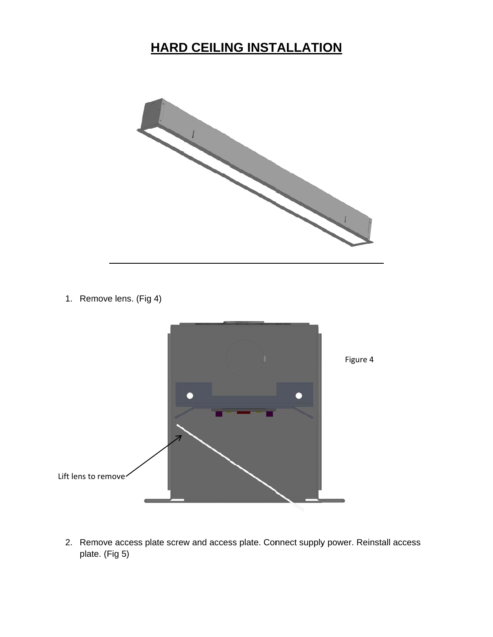#### **HARD CEILING INSTALLATION**



1. Remove lens. (Fig 4)



2. Remove access plate screw and access plate. Connect supply power. Reinstall access plat te. (Fig 5)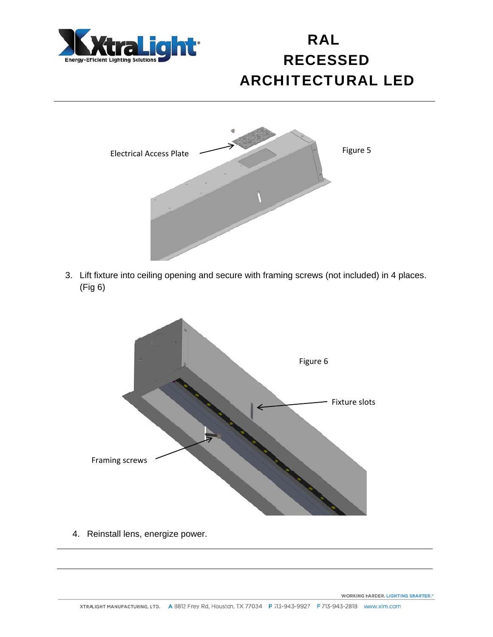



3. Lift fixture into ceiling opening and secure with framing screws (not included) in 4 places.  $(Fig 6)$ 



4. Reinstall lens, energize power.

**WORKING HARDER. LIGHTING SNARTER.\***